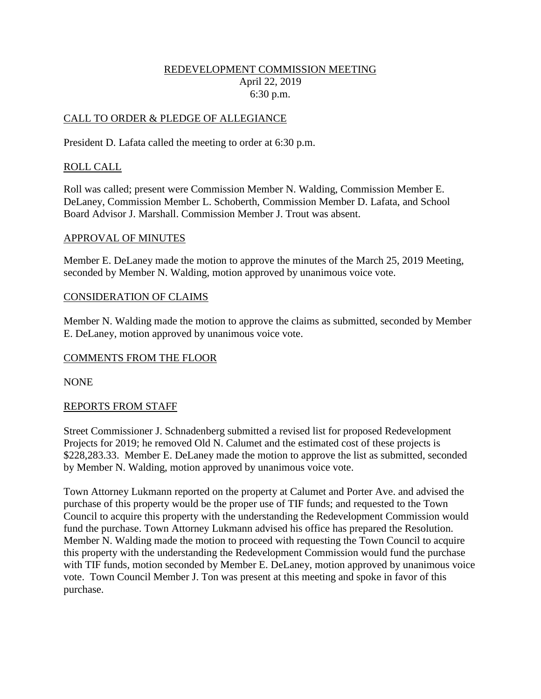### REDEVELOPMENT COMMISSION MEETING April 22, 2019 6:30 p.m.

### CALL TO ORDER & PLEDGE OF ALLEGIANCE

President D. Lafata called the meeting to order at 6:30 p.m.

### ROLL CALL

Roll was called; present were Commission Member N. Walding, Commission Member E. DeLaney, Commission Member L. Schoberth, Commission Member D. Lafata, and School Board Advisor J. Marshall. Commission Member J. Trout was absent.

### APPROVAL OF MINUTES

Member E. DeLaney made the motion to approve the minutes of the March 25, 2019 Meeting, seconded by Member N. Walding, motion approved by unanimous voice vote.

#### CONSIDERATION OF CLAIMS

Member N. Walding made the motion to approve the claims as submitted, seconded by Member E. DeLaney, motion approved by unanimous voice vote.

### COMMENTS FROM THE FLOOR

NONE

### REPORTS FROM STAFF

Street Commissioner J. Schnadenberg submitted a revised list for proposed Redevelopment Projects for 2019; he removed Old N. Calumet and the estimated cost of these projects is \$228,283.33. Member E. DeLaney made the motion to approve the list as submitted, seconded by Member N. Walding, motion approved by unanimous voice vote.

Town Attorney Lukmann reported on the property at Calumet and Porter Ave. and advised the purchase of this property would be the proper use of TIF funds; and requested to the Town Council to acquire this property with the understanding the Redevelopment Commission would fund the purchase. Town Attorney Lukmann advised his office has prepared the Resolution. Member N. Walding made the motion to proceed with requesting the Town Council to acquire this property with the understanding the Redevelopment Commission would fund the purchase with TIF funds, motion seconded by Member E. DeLaney, motion approved by unanimous voice vote. Town Council Member J. Ton was present at this meeting and spoke in favor of this purchase.